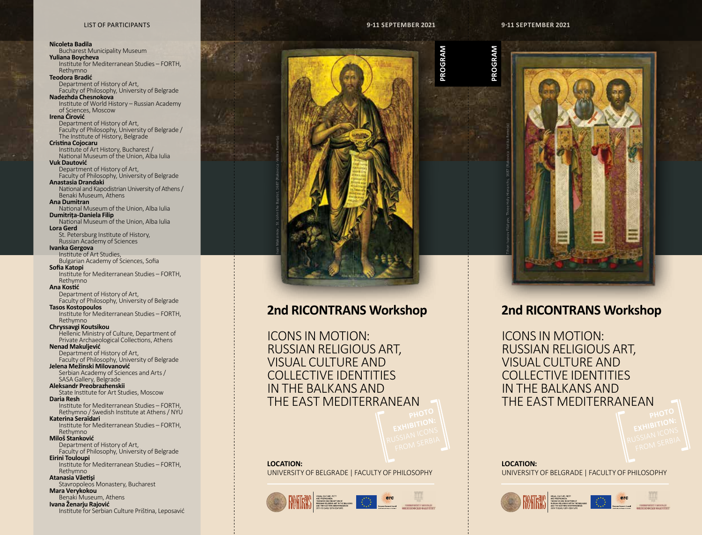### LIST OF PARTICIPANTS

### **Nicoleta Badila** Bucharest Municipality Museum **Yuliana Boycheva** Institute for Mediterranean Studies – FORTH, Rethymno **Teodora Bradić** Department of History of Art, Faculty of Philosophy, University of Belgrade **Nadezhda Chesnokova** Institute of World History – Russian Academy of Sciences, Moscow **Irena Ćirović** Department of History of Art, Faculty of Philosophy, University of Belgrade / The Institute of History, Belgrade **Cristina Cojocaru** Institute of Art History, Bucharest / National Museum of the Union, Alba Iulia **Vuk Dautović** Department of History of Art, Faculty of Philosophy, University of Belgrade **Anastasia Drandaki** National and Kapodistrian University of Athens / Benaki Museum, Athens **Ana Dumitran** National Museum of the Union, Alba Iulia **Dumitrița-Daniela Filip** National Museum of the Union, Alba Iulia **Lora Gerd** St. Petersburg Institute of History, Russian Academy of Sciences **Ivanka Gergova** Institute of Art Studies, Bulgarian Academy of Sciences, Sofia **Sofia Katopi** Institute for Mediterranean Studies – FORTH, Rethymno **Ana Kostić** Department of History of Art, Faculty of Philosophy, University of Belgrade **Tasos Kostopoulos** Institute for Mediterranean Studies – FORTH, Rethymno **Chryssavgi Koutsikou** Hellenic Ministry of Culture, Department of Private Archaeological Collections, Athens **Nenad Makuljević** Department of History of Art, Faculty of Philosophy, University of Belgrade **Jelena Mežinski Milovanović** Serbian Academy of Sciences and Arts / SASA Gallery, Belgrade **Aleksandr Preobrazhenskii** State Institute for Art Studies, Moscow **Daria Resh** Institute for Mediterranean Studies – FORTH, Rethymno / Swedish Institute at Athens / NYU **Katerina Seraïdari** Institute for Mediterranean Studies – FORTH, Rethymno **Miloš Stanković** Department of History of Art, Faculty of Philosophy, University of Belgrade **Eirini Touloupi** Institute for Mediterranean Studies – FORTH, Rethymno **Atanasia Văetişi** Stavropoleos Monastery, Bucharest **Mara Verykokou** Benaki Museum, Athens **Ivana Ženarju Rajović** Institute for Serbian Culture Priština, Leposavić



# **2nd RICONTRANS Workshop**

ICONS IN MOTION: RUSSIAN RELIGIOUS ART, VISUAL CULTURE AND COLLECTIVE IDENTITIES IN THE BALKANS AND THE EAST MEDITERRANEAN

**LOCATION:** UNIVERSITY OF BELGRADE | FACULTY OF PHILOSOPHY





# **2nd RICONTRANS Workshop**

ICONS IN MOTION: RUSSIAN RELIGIOUS ART, VISUAL CULTURE AND COLLECTIVE IDENTITIES IN THE BALKANS AND THE EAST MEDITERRANEAN

**LOCATION:** UNIVERSITY OF BELGRADE | FACULTY OF PHILOSOPHY